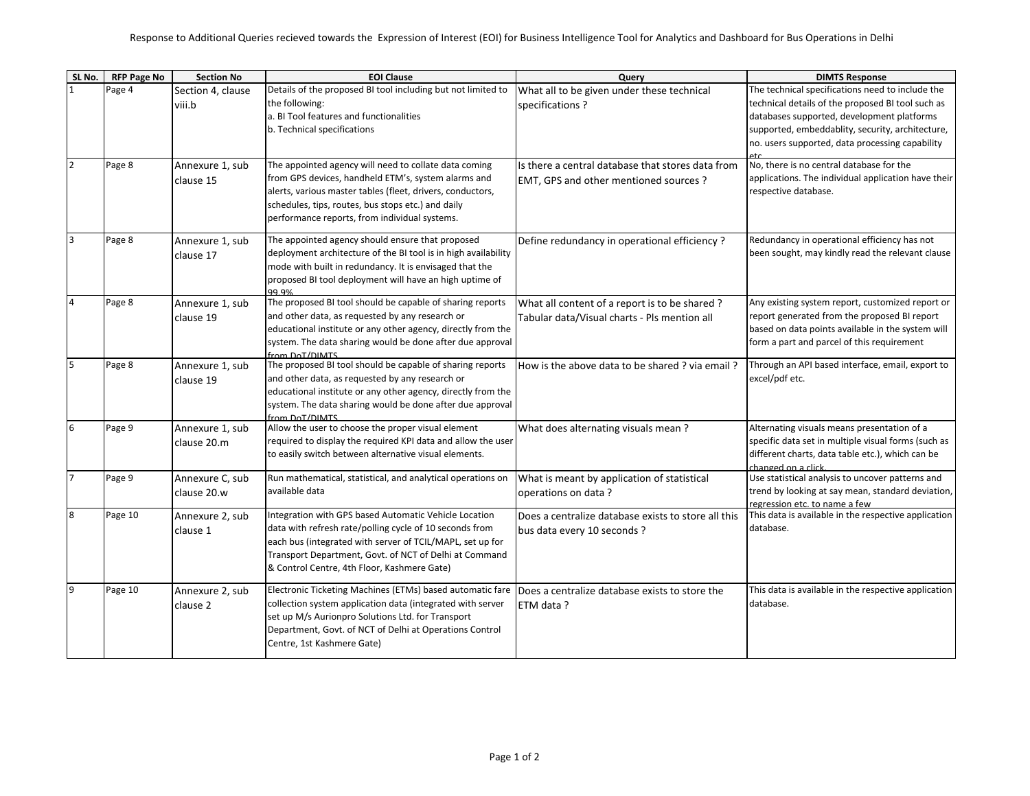| SL No.         | <b>RFP Page No</b> | <b>Section No</b> | <b>EOI Clause</b>                                                    | Query                                               | <b>DIMTS Response</b>                                |
|----------------|--------------------|-------------------|----------------------------------------------------------------------|-----------------------------------------------------|------------------------------------------------------|
|                | Page 4             | Section 4, clause | Details of the proposed BI tool including but not limited to         | What all to be given under these technical          | The technical specifications need to include the     |
|                |                    | viii.b            | the following:                                                       | specifications?                                     | technical details of the proposed BI tool such as    |
|                |                    |                   | a. BI Tool features and functionalities                              |                                                     | databases supported, development platforms           |
|                |                    |                   | b. Technical specifications                                          |                                                     | supported, embeddablity, security, architecture,     |
|                |                    |                   |                                                                      |                                                     | no. users supported, data processing capability      |
| $\overline{2}$ | Page 8             |                   | The appointed agency will need to collate data coming                | Is there a central database that stores data from   | No, there is no central database for the             |
|                |                    | Annexure 1, sub   | from GPS devices, handheld ETM's, system alarms and                  |                                                     | applications. The individual application have their  |
|                |                    | clause 15         | alerts, various master tables (fleet, drivers, conductors,           | EMT, GPS and other mentioned sources ?              | respective database.                                 |
|                |                    |                   | schedules, tips, routes, bus stops etc.) and daily                   |                                                     |                                                      |
|                |                    |                   | performance reports, from individual systems.                        |                                                     |                                                      |
|                |                    |                   |                                                                      |                                                     |                                                      |
| 3              | Page 8             | Annexure 1, sub   | The appointed agency should ensure that proposed                     | Define redundancy in operational efficiency?        | Redundancy in operational efficiency has not         |
|                |                    | clause 17         | deployment architecture of the BI tool is in high availability       |                                                     | been sought, may kindly read the relevant clause     |
|                |                    |                   | mode with built in redundancy. It is envisaged that the              |                                                     |                                                      |
|                |                    |                   | proposed BI tool deployment will have an high uptime of              |                                                     |                                                      |
| 4              | Page 8             | Annexure 1, sub   | 99.9%<br>The proposed BI tool should be capable of sharing reports   | What all content of a report is to be shared ?      | Any existing system report, customized report or     |
|                |                    | clause 19         | and other data, as requested by any research or                      | Tabular data/Visual charts - Pls mention all        | report generated from the proposed BI report         |
|                |                    |                   | educational institute or any other agency, directly from the         |                                                     | based on data points available in the system will    |
|                |                    |                   | system. The data sharing would be done after due approval            |                                                     | form a part and parcel of this requirement           |
|                |                    |                   | from DoT/DIMTS                                                       |                                                     |                                                      |
| 5              | Page 8             | Annexure 1, sub   | The proposed BI tool should be capable of sharing reports            | How is the above data to be shared ? via email ?    | Through an API based interface, email, export to     |
|                |                    | clause 19         | and other data, as requested by any research or                      |                                                     | excel/pdf etc.                                       |
|                |                    |                   | educational institute or any other agency, directly from the         |                                                     |                                                      |
|                |                    |                   | system. The data sharing would be done after due approval            |                                                     |                                                      |
| 6              | Page 9             | Annexure 1, sub   | from DoT/DIMTS<br>Allow the user to choose the proper visual element | What does alternating visuals mean?                 | Alternating visuals means presentation of a          |
|                |                    | clause 20.m       | required to display the required KPI data and allow the user         |                                                     | specific data set in multiple visual forms (such as  |
|                |                    |                   | to easily switch between alternative visual elements.                |                                                     | different charts, data table etc.), which can be     |
|                |                    |                   |                                                                      |                                                     | changed on a click.                                  |
| $\overline{7}$ | Page 9             | Annexure C, sub   | Run mathematical, statistical, and analytical operations on          | What is meant by application of statistical         | Use statistical analysis to uncover patterns and     |
|                |                    | clause 20.w       | available data                                                       | operations on data?                                 | trend by looking at say mean, standard deviation,    |
|                |                    |                   |                                                                      |                                                     | regression etc. to name a few                        |
| 8              | Page 10            | Annexure 2, sub   | Integration with GPS based Automatic Vehicle Location                | Does a centralize database exists to store all this | This data is available in the respective application |
|                |                    | clause 1          | data with refresh rate/polling cycle of 10 seconds from              | bus data every 10 seconds ?                         | database.                                            |
|                |                    |                   | each bus (integrated with server of TCIL/MAPL, set up for            |                                                     |                                                      |
|                |                    |                   | Transport Department, Govt. of NCT of Delhi at Command               |                                                     |                                                      |
|                |                    |                   | & Control Centre, 4th Floor, Kashmere Gate)                          |                                                     |                                                      |
| 9              | Page 10            | Annexure 2, sub   | Electronic Ticketing Machines (ETMs) based automatic fare            | Does a centralize database exists to store the      | This data is available in the respective application |
|                |                    | clause 2          | collection system application data (integrated with server           | ETM data?                                           | database.                                            |
|                |                    |                   | set up M/s Aurionpro Solutions Ltd. for Transport                    |                                                     |                                                      |
|                |                    |                   | Department, Govt. of NCT of Delhi at Operations Control              |                                                     |                                                      |
|                |                    |                   | Centre, 1st Kashmere Gate)                                           |                                                     |                                                      |
|                |                    |                   |                                                                      |                                                     |                                                      |